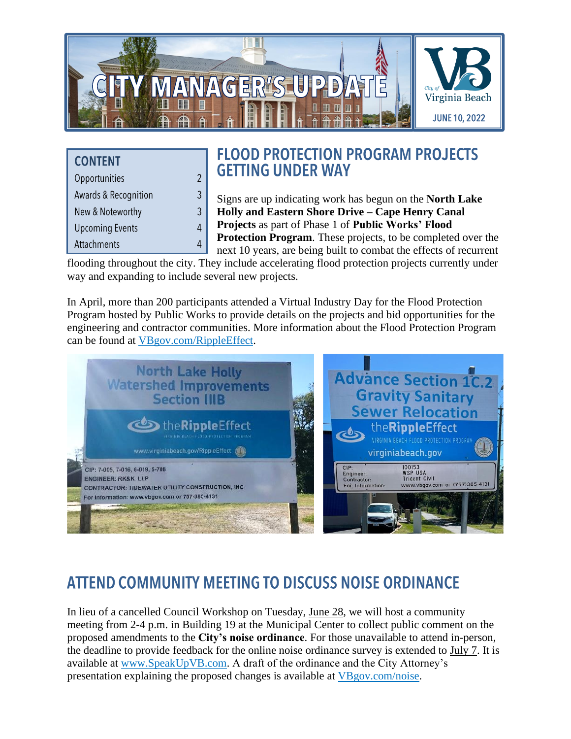

| <b>CONTENT</b>                  |
|---------------------------------|
| Opportunities                   |
| <b>Awards &amp; Recognition</b> |
| New & Noteworthy                |
| <b>Upcoming Events</b>          |
| Attachments                     |

 $\overline{2}$  $\mathfrak{Z}$  $\mathfrak{Z}$  $\overline{4}$  $\overline{4}$ 

## **FLOOD PROTECTION PROGRAM PROJECTS GETTING UNDER WAY**

Signs are up indicating work has begun on the **North Lake Holly and Eastern Shore Drive – Cape Henry Canal Projects** as part of Phase 1 of **Public Works' Flood Protection Program**. These projects, to be completed over the next 10 years, are being built to combat the effects of recurrent

flooding throughout the city. They include accelerating flood protection projects currently under way and expanding to include several new projects.

In April, more than 200 participants attended a Virtual Industry Day for the Flood Protection Program hosted by Public Works to provide details on the projects and bid opportunities for the engineering and contractor communities. More information about the Flood Protection Program can be found at [VBgov.com/RippleEffect.](http://www.vbgov.com/RippleEffect)



# **ATTEND COMMUNITY MEETING TO DISCUSS NOISE ORDINANCE**

In lieu of a cancelled Council Workshop on Tuesday, June 28, we will host a community meeting from 2-4 p.m. in Building 19 at the Municipal Center to collect public comment on the proposed amendments to the **City's noise ordinance**. For those unavailable to attend in-person, the deadline to provide feedback for the online noise ordinance survey is extended to July 7. It is available at [www.SpeakUpVB.com.](http://www.speakupvb.com/) A draft of the ordinance and the City Attorney's presentation explaining the proposed changes is available at [VBgov.com/noise.](http://www.vbgov.com/noise)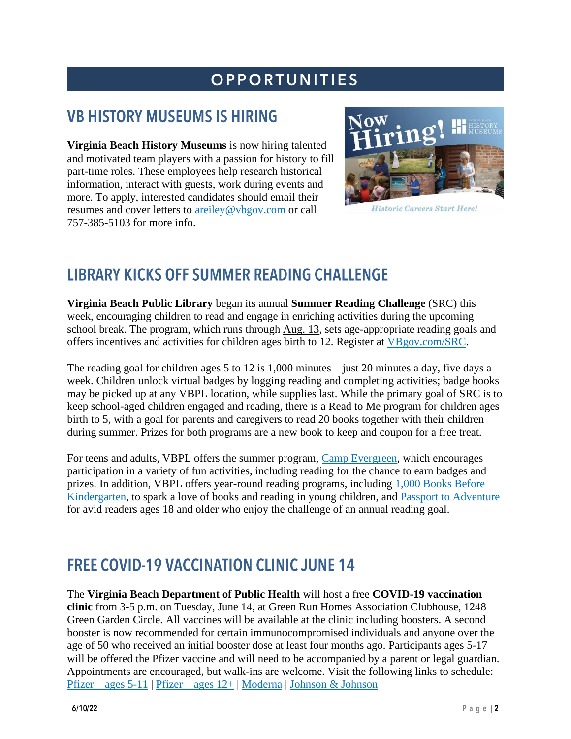# **OPPORTUNITIES**

# **VB HISTORY MUSEUMS IS HIRING**

**Virginia Beach History Museums** is now hiring talented and motivated team players with a passion for history to fill part-time roles. These employees help research historical information, interact with guests, work during events and more. To apply, interested candidates should email their resumes and cover letters to [areiley@vbgov.com](mailto:areiley@vbgov.com) or call 757-385-5103 for more info.



**Historic Careers Start Here!** 

## **LIBRARY KICKS OFF SUMMER READING CHALLENGE**

**Virginia Beach Public Library** began its annual **Summer Reading Challenge** (SRC) this week, encouraging children to read and engage in enriching activities during the upcoming school break. The program, which runs through Aug. 13, sets age-appropriate reading goals and offers incentives and activities for children ages birth to 12. Register at [VBgov.com/SRC.](https://www.vbgov.com/SRC)

The reading goal for children ages 5 to 12 is 1,000 minutes – just 20 minutes a day, five days a week. Children unlock virtual badges by logging reading and completing activities; badge books may be picked up at any VBPL location, while supplies last. While the primary goal of SRC is to keep school-aged children engaged and reading, there is a Read to Me program for children ages birth to 5, with a goal for parents and caregivers to read 20 books together with their children during summer. Prizes for both programs are a new book to keep and coupon for a free treat.

For teens and adults, VBPL offers the summer program, [Camp Evergreen,](https://www.vbgov.com/government/departments/libraries/adults/Pages/camp-evergreen.aspx) which encourages participation in a variety of fun activities, including reading for the chance to earn badges and prizes. In addition, VBPL offers year-round reading programs, including [1,000 Books Before](https://www.vbgov.com/government/departments/libraries/programs-classes/Pages/1%2c000-Books-Before-Kindergarten.aspx)  [Kindergarten,](https://www.vbgov.com/government/departments/libraries/programs-classes/Pages/1%2c000-Books-Before-Kindergarten.aspx) to spark a love of books and reading in young children, and Passport [to Adventure](https://www.vbgov.com/government/departments/libraries/adults/Pages/Passport-to-Adventure.aspx) for avid readers ages 18 and older who enjoy the challenge of an annual reading goal.

## **FREE COVID-19 VACCINATION CLINIC JUNE 14**

The **Virginia Beach Department of Public Health** will host a free **COVID-19 vaccination clinic** from 3-5 p.m. on Tuesday, June 14, at Green Run Homes Association Clubhouse, 1248 Green Garden Circle. All vaccines will be available at the clinic including boosters. A second booster is now recommended for certain immunocompromised individuals and anyone over the age of 50 who received an initial booster dose at least four months ago. Participants ages 5-17 will be offered the Pfizer vaccine and will need to be accompanied by a parent or legal guardian. Appointments are encouraged, but walk-ins are welcome. Visit the following links to schedule: Pfizer – [ages 5-11](https://vase.vdh.virginia.gov/vdhapps/f?p=535:205:::NO:205:P205_CLINIC_DETAILS_ID:296696815436291577976395341646040594360) | Pfizer – [ages 12+](https://vase.vdh.virginia.gov/vdhapps/f?p=535:205:::NO:205:P205_CLINIC_DETAILS_ID:296696815436176730023531951874443507640) | [Moderna](https://vase.vdh.virginia.gov/vdhapps/f?p=535:205:::NO:205:P205_CLINIC_DETAILS_ID:296698745701990315469280986273873041252) | [Johnson & Johnson](https://vase.vdh.virginia.gov/vdhapps/f?p=535:205:::NO:205:P205_CLINIC_DETAILS_ID:296699310533508280065088456237605645343)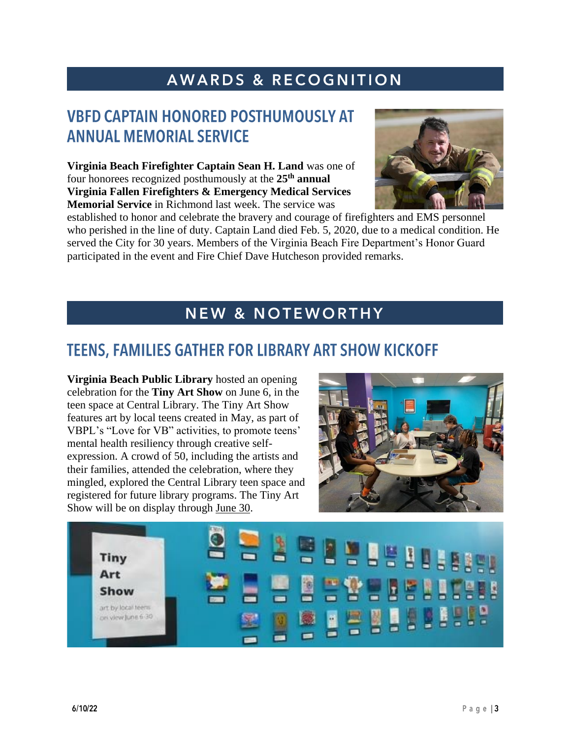# AWARDS & RECOGNITION

## **VBFD CAPTAIN HONORED POSTHUMOUSLY AT ANNUAL MEMORIAL SERVICE**

**Virginia Beach Firefighter Captain Sean H. Land** was one of four honorees recognized posthumously at the **25th annual Virginia Fallen Firefighters & Emergency Medical Services Memorial Service** in Richmond last week. The service was



established to honor and celebrate the bravery and courage of firefighters and EMS personnel who perished in the line of duty. Captain Land died Feb. 5, 2020, due to a medical condition. He served the City for 30 years. Members of the Virginia Beach Fire Department's Honor Guard participated in the event and Fire Chief Dave Hutcheson provided remarks.

#### **NEW & NOTEWORTHY**

#### **TEENS, FAMILIES GATHER FOR LIBRARY ART SHOW KICKOFF**

**Virginia Beach Public Library** hosted an opening celebration for the **Tiny Art Show** on June 6, in the teen space at Central Library. The Tiny Art Show features art by local teens created in May, as part of VBPL's "Love for VB" activities, to promote teens' mental health resiliency through creative selfexpression. A crowd of 50, including the artists and their families, attended the celebration, where they mingled, explored the Central Library teen space and registered for future library programs. The Tiny Art Show will be on display through June 30.



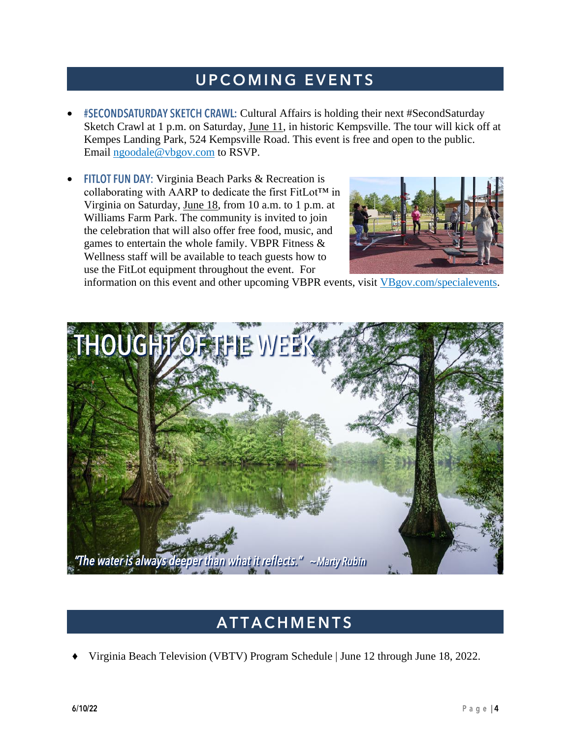# **UPCOMING EVENTS**

- Cultural Affairs is holding their next #SecondSaturday Sketch Crawl at 1 p.m. on Saturday, June 11, in historic Kempsville. The tour will kick off at Kempes Landing Park, 524 Kempsville Road. This event is free and open to the public. Email [ngoodale@vbgov.com](mailto:ngoodale@vbgov.com) to RSVP.
- **FITLOT FUN DAY:** Virginia Beach Parks & Recreation is collaborating with AARP to dedicate the first FitLot™ in Virginia on Saturday, June 18, from 10 a.m. to 1 p.m. at Williams Farm Park. The community is invited to join the celebration that will also offer free food, music, and games to entertain the whole family. VBPR Fitness & Wellness staff will be available to teach guests how to use the FitLot equipment throughout the event. For



information on this event and other upcoming VBPR events, visit [VBgov.com/specialevents.](http://www.vbgov.com/specialevents)



#### **ATTACHMENTS**

Virginia Beach Television (VBTV) Program Schedule | June 12 through June 18, 2022.